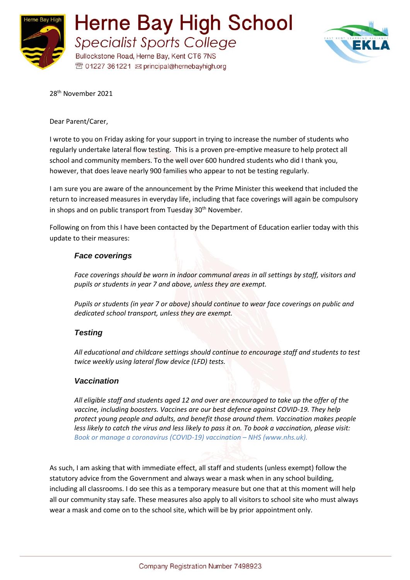



28th November 2021

Dear Parent/Carer,

I wrote to you on Friday asking for your support in trying to increase the number of students who regularly undertake lateral flow testing. This is a proven pre-emptive measure to help protect all school and community members. To the well over 600 hundred students who did I thank you, however, that does leave nearly 900 families who appear to not be testing regularly.

I am sure you are aware of the announcement by the Prime Minister this weekend that included the return to increased measures in everyday life, including that face coverings will again be compulsory in shops and on public transport from Tuesday 30<sup>th</sup> November.

Following on from this I have been contacted by the Department of Education earlier today with this update to their measures:

## *Face coverings*

*Face coverings should be worn in indoor communal areas in all settings by staff, visitors and pupils or students in year 7 and above, unless they are exempt.* 

*Pupils or students (in year 7 or above) should continue to wear face coverings on public and dedicated school transport, unless they are exempt.* 

## *Testing*

*All educational and childcare settings should continue to encourage staff and students to test twice weekly using lateral flow device (LFD) tests.*

## *Vaccination*

*All eligible staff and students aged 12 and over are encouraged to take up the offer of the vaccine, including boosters. Vaccines are our best defence against COVID-19. They help protect young people and adults, and benefit those around them. Vaccination makes people less likely to catch the virus and less likely to pass it on. To book a vaccination, please visit: [Book or manage a coronavirus \(COVID-19\) vaccination](https://www.nhs.uk/conditions/coronavirus-covid-19/coronavirus-vaccination/book-coronavirus-vaccination/) – NHS (www.nhs.uk).* 

As such, I am asking that with immediate effect, all staff and students (unless exempt) follow the statutory advice from the Government and always wear a mask when in any school building, including all classrooms. I do see this as a temporary measure but one that at this moment will help all our community stay safe. These measures also apply to all visitors to school site who must always wear a mask and come on to the school site, which will be by prior appointment only.